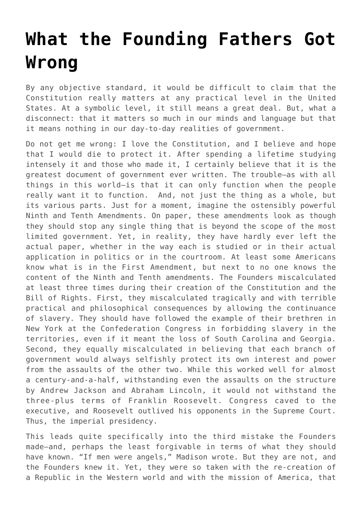## **[What the Founding Fathers Got](https://intellectualtakeout.org/2016/07/what-the-founding-fathers-got-wrong/) [Wrong](https://intellectualtakeout.org/2016/07/what-the-founding-fathers-got-wrong/)**

By any objective standard, it would be difficult to claim that the Constitution really matters at any practical level in the United States. At a symbolic level, it still means a great deal. But, what a disconnect: that it matters so much in our minds and language but that it means nothing in our day-to-day realities of government.

Do not get me wrong: I love the Constitution, and I believe and hope that I would die to protect it. After spending a lifetime studying intensely it and those who made it, I certainly believe that it is the greatest document of government ever written. The trouble—as with all things in this world—is that it can only function when the people really want it to function. And, not just the thing as a whole, but its various parts. Just for a moment, imagine the ostensibly powerful Ninth and Tenth Amendments. On paper, these amendments look as though they should stop any single thing that is beyond the scope of the most limited government. Yet, in reality, they have hardly ever left the actual paper, whether in the way each is studied or in their actual application in politics or in the courtroom. At least some Americans know what is in the First Amendment, but next to no one knows the content of the Ninth and Tenth amendments. The Founders miscalculated at least three times during their creation of the Constitution and the Bill of Rights. First, they miscalculated tragically and with terrible practical and philosophical consequences by allowing the continuance of slavery. They should have followed the example of their brethren in New York at the Confederation Congress in forbidding slavery in the territories, even if it meant the loss of South Carolina and Georgia. Second, they equally miscalculated in believing that each branch of government would always selfishly protect its own interest and power from the assaults of the other two. While this worked well for almost a century-and-a-half, withstanding even the assaults on the structure by Andrew Jackson and Abraham Lincoln, it would not withstand the three-plus terms of Franklin Roosevelt. Congress caved to the executive, and Roosevelt outlived his opponents in the Supreme Court. Thus, the imperial presidency.

This leads quite specifically into the third mistake the Founders made—and, perhaps the least forgivable in terms of what they should have known. "If men were angels," Madison wrote. But they are not, and the Founders knew it. Yet, they were so taken with the re-creation of a Republic in the Western world and with the mission of America, that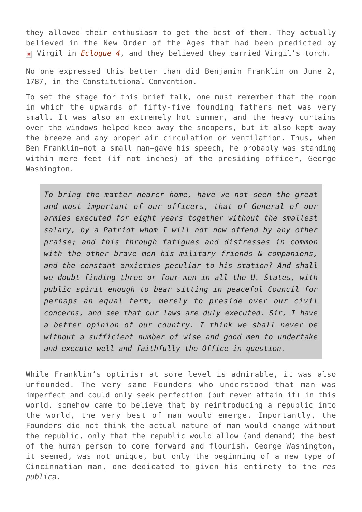they allowed their enthusiasm to get the best of them. They actually believed in the New Order of the Ages that had been predicted by Virgil in *[Eclogue 4](http://astore.amazon.com/theimaginativeconservative-20/detail/0199554099)*, and they believed they carried Virgil's torch.

No one expressed this better than did Benjamin Franklin on June 2, 1787, in the Constitutional Convention.

To set the stage for this brief talk, one must remember that the room in which the upwards of fifty-five founding fathers met was very small. It was also an extremely hot summer, and the heavy curtains over the windows helped keep away the snoopers, but it also kept away the breeze and any proper air circulation or ventilation. Thus, when Ben Franklin—not a small man—gave his speech, he probably was standing within mere feet (if not inches) of the presiding officer, George Washington.

*To bring the matter nearer home, have we not seen the great and most important of our officers, that of General of our armies executed for eight years together without the smallest salary, by a Patriot whom I will not now offend by any other praise; and this through fatigues and distresses in common with the other brave men his military friends & companions, and the constant anxieties peculiar to his station? And shall we doubt finding three or four men in all the U. States, with public spirit enough to bear sitting in peaceful Council for perhaps an equal term, merely to preside over our civil concerns, and see that our laws are duly executed. Sir, I have a better opinion of our country. I think we shall never be without a sufficient number of wise and good men to undertake and execute well and faithfully the Office in question.*

While Franklin's optimism at some level is admirable, it was also unfounded. The very same Founders who understood that man was imperfect and could only seek perfection (but never attain it) in this world, somehow came to believe that by reintroducing a republic into the world, the very best of man would emerge. Importantly, the Founders did not think the actual nature of man would change without the republic, only that the republic would allow (and demand) the best of the human person to come forward and flourish. George Washington, it seemed, was not unique, but only the beginning of a new type of Cincinnatian man, one dedicated to given his entirety to the *res publica*.